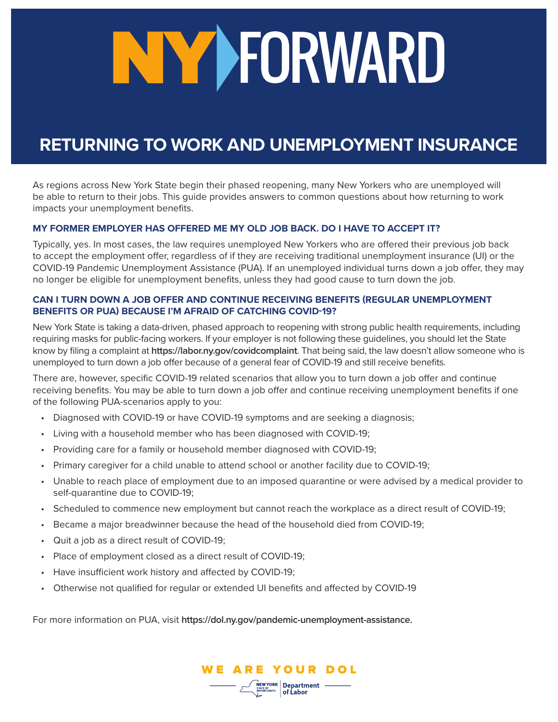# NY YFORWARD

# **RETURNING TO WORK AND UNEMPLOYMENT INSURANCE**

As regions across New York State begin their phased reopening, many New Yorkers who are unemployed will be able to return to their jobs. This guide provides answers to common questions about how returning to work impacts your unemployment benefits.

# **MY FORMER EMPLOYER HAS OFFERED ME MY OLD JOB BACK. DO I HAVE TO ACCEPT IT?**

Typically, yes. In most cases, the law requires unemployed New Yorkers who are offered their previous job back to accept the employment offer, regardless of if they are receiving traditional unemployment insurance (UI) or the COVID-19 Pandemic Unemployment Assistance (PUA). If an unemployed individual turns down a job offer, they may no longer be eligible for unemployment benefits, unless they had good cause to turn down the job.

# **CAN I TURN DOWN A JOB OFFER AND CONTINUE RECEIVING BENEFITS (REGULAR UNEMPLOYMENT BENEFITS OR PUA) BECAUSE I'M AFRAID OF CATCHING COVID-19?**

New York State is taking a data-driven, phased approach to reopening with strong public health requirements, including requiring masks for public-facing workers. If your employer is not following these guidelines, you should let the State know by filing a complaint at **<https://labor.ny.gov/covidcomplaint>**. That being said, the law doesn't allow someone who is unemployed to turn down a job offer because of a general fear of COVID-19 and still receive benefits.

There are, however, specific COVID-19 related scenarios that allow you to turn down a job offer and continue receiving benefits. You may be able to turn down a job offer and continue receiving unemployment benefits if one of the following PUA-scenarios apply to you:

- Diagnosed with COVID-19 or have COVID-19 symptoms and are seeking a diagnosis;
- Living with a household member who has been diagnosed with COVID-19;
- Providing care for a family or household member diagnosed with COVID-19;
- Primary caregiver for a child unable to attend school or another facility due to COVID-19;
- Unable to reach place of employment due to an imposed quarantine or were advised by a medical provider to self-quarantine due to COVID-19;
- Scheduled to commence new employment but cannot reach the workplace as a direct result of COVID-19;
- Became a major breadwinner because the head of the household died from COVID-19;
- Quit a job as a direct result of COVID-19;
- Place of employment closed as a direct result of COVID-19;
- Have insufficient work history and affected by COVID-19;
- Otherwise not qualified for regular or extended UI benefits and affected by COVID-19

For more information on PUA, visit **<https://dol.ny.gov/pandemic-unemployment-assistance>.**

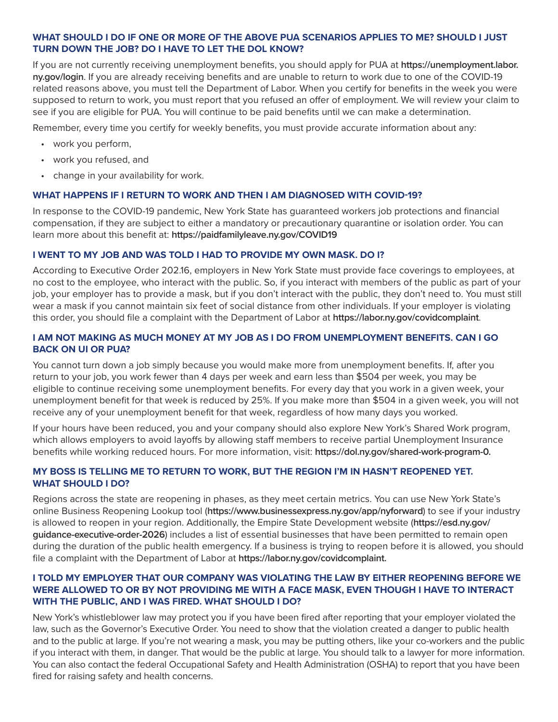# **WHAT SHOULD I DO IF ONE OR MORE OF THE ABOVE PUA SCENARIOS APPLIES TO ME? SHOULD I JUST TURN DOWN THE JOB? DO I HAVE TO LET THE DOL KNOW?**

If you are not currently receiving unemployment benefits, you should apply for PUA at **[https://unemployment.labor.](https://unemployment.labor.ny.gov/login) [ny.gov/login](https://unemployment.labor.ny.gov/login)**. If you are already receiving benefits and are unable to return to work due to one of the COVID-19 related reasons above, you must tell the Department of Labor. When you certify for benefits in the week you were supposed to return to work, you must report that you refused an offer of employment. We will review your claim to see if you are eligible for PUA. You will continue to be paid benefits until we can make a determination.

Remember, every time you certify for weekly benefits, you must provide accurate information about any:

- work you perform,
- work you refused, and
- change in your availability for work.

#### **WHAT HAPPENS IF I RETURN TO WORK AND THEN I AM DIAGNOSED WITH COVID-19?**

In response to the COVID-19 pandemic, New York State has guaranteed workers job protections and financial compensation, if they are subject to either a mandatory or precautionary quarantine or isolation order. You can learn more about this benefit at: **<https://paidfamilyleave.ny.gov/COVID19>**

#### **I WENT TO MY JOB AND WAS TOLD I HAD TO PROVIDE MY OWN MASK. DO I?**

According to Executive Order 202.16, employers in New York State must provide face coverings to employees, at no cost to the employee, who interact with the public. So, if you interact with members of the public as part of your job, your employer has to provide a mask, but if you don't interact with the public, they don't need to. You must still wear a mask if you cannot maintain six feet of social distance from other individuals. If your employer is violating this order, you should file a complaint with the Department of Labor at **<https://labor.ny.gov/covidcomplaint>**.

#### **I AM NOT MAKING AS MUCH MONEY AT MY JOB AS I DO FROM UNEMPLOYMENT BENEFITS. CAN I GO BACK ON UI OR PUA?**

You cannot turn down a job simply because you would make more from unemployment benefits. If, after you return to your job, you work fewer than 4 days per week and earn less than \$504 per week, you may be eligible to continue receiving some unemployment benefits. For every day that you work in a given week, your unemployment benefit for that week is reduced by 25%. If you make more than \$504 in a given week, you will not receive any of your unemployment benefit for that week, regardless of how many days you worked.

If your hours have been reduced, you and your company should also explore New York's Shared Work program, which allows employers to avoid layoffs by allowing staff members to receive partial Unemployment Insurance benefits while working reduced hours. For more information, visit: **<https://dol.ny.gov/shared-work-program-0>.**

# **MY BOSS IS TELLING ME TO RETURN TO WORK, BUT THE REGION I'M IN HASN'T REOPENED YET. WHAT SHOULD I DO?**

Regions across the state are reopening in phases, as they meet certain metrics. You can use New York State's online Business Reopening Lookup tool (**<https://www.businessexpress.ny.gov/app/nyforward>**) to see if your industry is allowed to reopen in your region. Additionally, the Empire State Development website (**[https://esd.ny.gov/](https://esd.ny.gov/guidance-executive-order-2026) [guidance-executive-order-2026](https://esd.ny.gov/guidance-executive-order-2026)**) includes a list of essential businesses that have been permitted to remain open during the duration of the public health emergency. If a business is trying to reopen before it is allowed, you should file a complaint with the Department of Labor at **[https://labor.ny.gov/covidcomplaint.](https://labor.ny.gov/covidcomplaint)**

# **I TOLD MY EMPLOYER THAT OUR COMPANY WAS VIOLATING THE LAW BY EITHER REOPENING BEFORE WE WERE ALLOWED TO OR BY NOT PROVIDING ME WITH A FACE MASK, EVEN THOUGH I HAVE TO INTERACT WITH THE PUBLIC, AND I WAS FIRED. WHAT SHOULD I DO?**

New York's whistleblower law may protect you if you have been fired after reporting that your employer violated the law, such as the Governor's Executive Order. You need to show that the violation created a danger to public health and to the public at large. If you're not wearing a mask, you may be putting others, like your co-workers and the public if you interact with them, in danger. That would be the public at large. You should talk to a lawyer for more information. You can also contact the federal Occupational Safety and Health Administration (OSHA) to report that you have been fired for raising safety and health concerns.